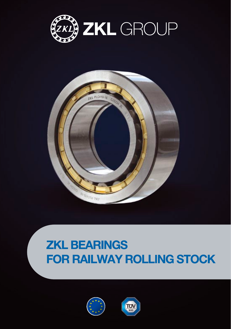



# **ZKL BEARINGS FOR RAILWAY ROLLING STOCK**



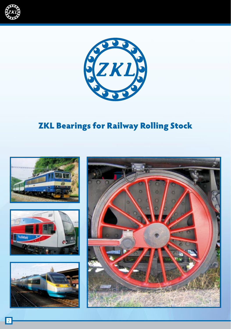



## ZKL Bearings for Railway Rolling Stock







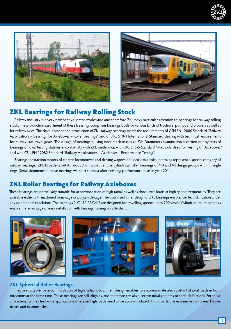





## ZKL Bearings for Railway Rolling Stock

Railway industry is a very prospective sector worldwide and therefore ZKL pays particular attention to bearings for railway rolling stock. The production assortment of these bearings comprises bearings both for various kinds of tractions, pumps and blowers as well as for railway axles. The development and production of ZKL railway bearings match the requirements of CSN EN 12080 Standard "Railway Applications – Bearings for Axleboxes – Roller Bearings" and of UIC 510-1 International Standard dealing with technical requirements for railway cars travel gears. The design of bearings is using most modern design SW. Parameters examination is carried out by tests of bearings on own testing stations in conformity with ZKL methodics, with UIC 515-5 Standard "Methods Used for Testing of Axleboxes" and with CSN EN 12082 Standard "Railway Applications – Axleboxes – Performance Testing".

Bearings for traction motors of electric locomotives and driving wagons of electric multiple unit trains represent a special category of railway bearings. ZKL broadens out its production assortment by cylindrical roller bearings of NU and NJ design groups with HJ angle rings. Serial shipments of these bearings will start soonest after finishing performance tests in year 2011.

## ZKL Roller Bearings for Railway Axleboxes

These bearings are particularly suitable for accommodation of high radial as well as shock axial loads at high speed frequencies. They are available either with machined brass cage or polyamide cage. The optimized inner design of ZKL bearings enables perfect lubrication under any operational conditions. The bearings PLC 410-33/34-2 are designed for travelling speeds up to 200 km/hr. Cylindrical roller bearings enable the advantage of easy installation with bearing housing on axle shaft.



#### **ZKL Spherical Roller Bearings**

They are suitable for accommodation of high radial loads. Their design enables to accommodate also substantial axial loads in both directions at the same time. These bearings are self-aligning and therefore can align certain misalignments or shaft deflections. For these characteristics they find wide applications wherever high loads need to be accommodated. This is particular in transmission boxes, blower drives and in some axles.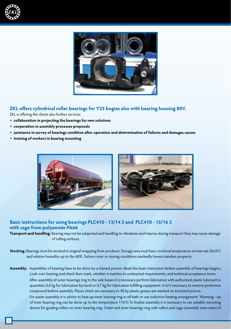



#### **ZKL offers cylindrical roller bearings for Y25 bogies also with bearing housing 80V.**

ZKL is offering the clients also further services:

- **collaboration in projecting the bearings for new solutions**
- **cooperation in assembly processes proposals**
- **assistance in survey of bearings condition after operation and determination of failures and damages causes**
- **training of workers in bearing mounting**



#### **Basic instructions for using bearings PLC410 - 13/14 2 and PLC410 - 15/16 2 with cage from polyamide PA66**

**Transport and handling:** Bearing may not be subjected and handling to vibrations and impress during transport they may cause damage of rolling surfaces.

**Stocking:** Bearings must be stocked in original wrapping from producer. Storage area must have continual temperature at intervals 20±5ºC and relative humidity up to the 60%. Failure cover or storing conditions markedly lowers stainless property.

**Assembly:** Assemblies of bearing have to be done by a trained person. Read this basic instruction before assembly of bearings begins,. Look over bearing and check their mark, whether it matches to contracted requirements, and technical acceptance terms. After assembly of outer bearings ring to the axle boxes it is necessary perform lubrication with authorized plastic lubricant in quantities 0,6 kg for lubrication by hand or 0,7 kg for lubrication fulfilling equipment. It isn't necessary to remove protective compound before assembly. Places which are necessary to fill by plastic grease are marked on enclosed picture. For easier assembly it is advice to heat up inner bearing ring in oil bath or use inductive heating arrangement. Warming - up

of inner bearing ring can be done up to the temperature 115ºC.To finalize assembly it is necessary to use suitable mounting device for guiding rollers on inner bearing ring. Outer and inner bearings ring with rollers and cage (assembly semi-units) of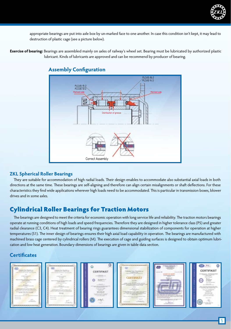

appropriate bearings are put into axle box by un-marked face to one another. In case this condition isn't kept, it may lead to destruction of plastic cage (see a picture below).

**Exercise of bearing:** Bearings are assembled mainly on axles of railway's wheel set. Bearing must be lubricated by authorized plastic lubricant. Kinds of lubricants are approved and can be recommend by producer of bearing.



#### **Assembly Configuration**

#### **ZKL Spherical Roller Bearings**

They are suitable for accommodation of high radial loads. Their design enables to accommodate also substantial axial loads in both directions at the same time. These bearings are self-aligning and therefore can align certain misalignments or shaft deflections. For these characteristics they find wide applications wherever high loads need to be accommodated. This is particular in transmission boxes, blower drives and in some axles.

### Cylindrical Roller Bearings for Traction Motors

The bearings are designed to meet the criteria for economic operation with long service life and reliability. The traction motors bearings operate at running conditions of high loads and speed frequencies. Therefore they are designed in higher tolerance class (P5) and greater radial clearance (C3, C4). Heat treatment of bearing rings guarantees dimensional stabilization of components for operation at higher temperatures (S1). The inner design of bearings ensures their high axial load capability in operation. The bearings are manufactured with machined brass cage centered by cylindrical rollers (M). The execution of cage and guiding surfaces is designed to obtain optimum lubrication and low heat generation. Boundary dimensions of bearings are given in table data section.

#### **Certificates**

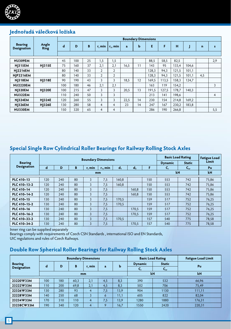

#### **Jednořadá válečková ložiska**

| <b>Bearing</b><br><b>Designation</b> |                     |     | <b>Boundary Dimensions</b> |    |                             |                                        |                         |    |       |       |       |       |             |                          |  |  |
|--------------------------------------|---------------------|-----|----------------------------|----|-----------------------------|----------------------------------------|-------------------------|----|-------|-------|-------|-------|-------------|--------------------------|--|--|
|                                      | Angle<br>Ring       | d   | D                          | B  | r, min                      | $\sqrt{r_{s1}$ min                     | $\overline{\mathbf{a}}$ | b  | Е     |       | н     |       | $\mathbf n$ | -S                       |  |  |
|                                      |                     |     |                            |    |                             |                                        |                         |    |       |       |       |       |             |                          |  |  |
| <b>NU309EM</b>                       |                     | 45  | 100                        | 25 | $\overline{.5}$             |                                        |                         |    | 88,5  | 58,5  | 82,5  |       |             | 2,9                      |  |  |
| <b>NJ315EM</b>                       | <b>HI315E</b>       | 75  | 160                        | 37 | 2,1                         | $\sim$<br>$\mathcal{L}$ , $\mathsf{I}$ | 16,5                    |    | 143   | 95    | 133,4 | 104,6 |             |                          |  |  |
| <b>NJ2216EM</b>                      |                     | 80  | 140                        | 33 |                             |                                        |                         |    | 128,3 | 94,3  | 121,5 | 101,1 |             |                          |  |  |
| <b>NJP2216EM</b>                     |                     | 80  | 140                        | 33 |                             |                                        |                         |    | 128,3 | 94,3  | 121,5 | 101,1 | 4,5         |                          |  |  |
| <b>NJ318EM</b>                       | HJ318E              | 90  | 190                        | 43 |                             |                                        | 18,5                    | 12 | 169,5 | 113,5 | 158,3 | 124,7 |             |                          |  |  |
| <b>NU2220EM</b>                      |                     | 100 | 180                        | 46 | $\sim$<br>$\mathcal{L}_{1}$ | 2,1                                    |                         |    | 163   | 119   | 154,2 |       |             | $\overline{\phantom{0}}$ |  |  |
| <b>NJ320EM</b>                       | <b>HI320E</b>       | 100 | 215                        | 47 |                             |                                        | 20,5                    | 13 | 191,5 | 127,5 | 178,7 | 140,3 |             |                          |  |  |
| <b>NU322EM</b>                       |                     | 110 | 240                        | 50 |                             |                                        |                         |    | 213   | 141   | 198,6 |       |             | 4                        |  |  |
| <b>NJ324EM</b>                       | HJ324E              | 120 | 260                        | 55 |                             |                                        | 22,5                    | 14 | 230   | 154   | 214,8 | 169,2 |             |                          |  |  |
| <b>NJ326EM</b>                       | H <sub>1326</sub> E | 130 | 280                        | 58 |                             |                                        | 23                      | 14 | 247   | 167   | 230,2 | 183,8 |             |                          |  |  |
| <b>NU330EM</b>                       |                     | 150 | 320                        | 65 |                             | 4                                      |                         |    | 286   | 190   | 266,8 |       |             | 5,5                      |  |  |

#### **Special Single Row Cylindrical Roller Bearings for Railway Rolling Stock Axles**

| <b>Bearing</b><br><b>Designation</b> |     |     |    | <b>Boundary Dimensions</b>      | <b>Basic Load Rating</b> | <b>Fatigue Load</b> |       |     |     |                                              |       |
|--------------------------------------|-----|-----|----|---------------------------------|--------------------------|---------------------|-------|-----|-----|----------------------------------------------|-------|
|                                      |     |     |    | <b>Static</b><br><b>Dynamic</b> | Limit                    |                     |       |     |     |                                              |       |
|                                      | d   | D   | в  | r. min                          | $r_{1s}$ min             | d.                  | d,    |     |     | $\mathsf{C}_{\scriptscriptstyle\mathrm{or}}$ | Pu    |
|                                      |     |     |    | mm                              |                          | kN                  |       |     |     |                                              |       |
| PLC 410-13                           | 120 | 240 | 80 |                                 | 7,5                      | 160,8               |       | 150 | 553 | 742                                          | 75,86 |
| PLC 410-13-2                         | 120 | 240 | 80 |                                 | 7,5                      | 160,8               |       | 150 | 553 | 742                                          | 75,86 |
| PLC 410-14                           | 120 | 240 | 80 |                                 | 7,5                      |                     | 160,8 | 150 | 553 | 742                                          | 75,86 |
| PLC 410-14-2                         | 120 | 240 | 80 |                                 | 7,5                      |                     | 160,8 | 150 | 553 | 742                                          | 75,86 |
| PLC 410-15                           | 130 | 240 | 80 |                                 | 7,5                      | 170,5               |       | 159 | 517 | 752                                          | 76,25 |
| PLC 410-15-2                         | 130 | 240 | 80 |                                 | 7,5                      | 170,5               |       | 159 | 517 | 752                                          | 76,25 |
| PLC 410-16                           | 130 | 240 | 80 |                                 | 7,5                      |                     | 170,5 | 159 | 517 | 752                                          | 76,25 |
| PLC 410-16-2                         | 130 | 240 | 80 |                                 | 7,5                      |                     | 170,5 | 159 | 517 | 752                                          | 76,25 |
| PLC 410-33-2                         | 130 | 240 | 80 |                                 | 7,5                      | 170,5               |       | 157 | 540 | 775                                          | 78,58 |
| PLC 410-34-2                         | 130 | 240 | 80 |                                 | 7,5                      |                     | 170,5 | 157 | 540 | 775                                          | 78,58 |

Inner ring can be supplied separately

Bearings comply with requirements of Czech CSN Standards , international ISO and EN Standards, UIC regulations and rules of Czech Railways.

#### **Double Row Spherical Roller Bearings for Railway Rolling Stock Axles**

|                  |                  |      |  |        |                            |                |                         | <b>Fatigue Load Limit</b>             |  |
|------------------|------------------|------|--|--------|----------------------------|----------------|-------------------------|---------------------------------------|--|
|                  | D                |      |  |        |                            | <b>Dynamic</b> | <b>Static</b>           | Pu                                    |  |
|                  |                  |      |  |        |                            |                | $\mathbf{v}_{\alpha r}$ |                                       |  |
| mm               |                  |      |  |        |                            |                |                         | kN                                    |  |
|                  |                  |      |  |        |                            |                |                         |                                       |  |
|                  | 180              | 60,3 |  | 4.5    | 8.3                        | 390            |                         | 66,96                                 |  |
| 110              | 200              | 69.8 |  | 4.5    | 8.3                        | 502            | 706                     | 75,49                                 |  |
| 130 <sup>2</sup> | 280              | 93   |  | 7.5    | 13,9                       | 904            | 1130                    | 111,11                                |  |
| 140              | 250              | 68   |  |        | 11.1                       | 605            | 822                     | 82,04                                 |  |
| 170              | 310              | 110  |  | 7.5    | 13.9                       | 1280           | 1880                    | 176,31                                |  |
| 190              | 340              | 120  |  |        | 16.7                       | 1550           | 2420                    | 220,31                                |  |
|                  | $\bullet$<br>100 |      |  | r, min | <b>Boundary Dimensions</b> | o              |                         | <b>Basic Load Rating</b><br>kN<br>532 |  |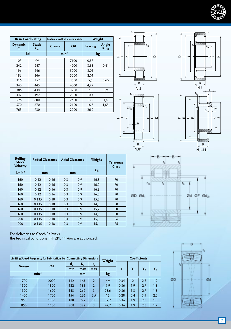

| <b>Basic Load Rating</b><br>Limiting Speed for Lubrication With    | Weight         |                      |
|--------------------------------------------------------------------|----------------|----------------------|
| <b>Static</b><br>Dynamic<br>Oil<br><b>Grease</b><br>$C_{or}$<br>∾. | <b>Bearing</b> | Angle<br><b>Ring</b> |
| <b>kN</b><br>$min-1$                                               | kg             |                      |
| 99<br>103<br>7100                                                  | 0,88           |                      |
| 267<br>242<br>4200                                                 | 3,33           | 0,41                 |
| 246<br>5000<br>196                                                 | 2,01           |                      |
| 246<br>196<br>5000                                                 | 2,01           |                      |
| 315<br>352<br>3500                                                 | 5,5            | 0,65                 |
| 445<br>4000<br>340                                                 | 4,77           |                      |
| 385<br>430<br>3200                                                 | 7,8            | 0,9                  |
| 2800<br>447<br>492                                                 | 10,3           |                      |
| 2600<br>525<br>600                                                 | 13,5           | 1,4                  |
| 570<br>670<br>2100                                                 | 16,7           | 1,65                 |
| 765<br>930<br>2000                                                 | 26,9           |                      |



ᇿ E $\circ$ 

n

H┑ ᠊ᠣ



B

| Tolerance      | Weight |     | <b>Axial Clearance</b> | Radial Clearance |       | Rolling<br><b>Stock</b>        |
|----------------|--------|-----|------------------------|------------------|-------|--------------------------------|
| <b>Class</b>   | kg     | mm  |                        | m <sub>m</sub>   |       | <b>Velocity</b><br>$km.h^{-1}$ |
|                |        |     |                        |                  |       |                                |
| P <sub>0</sub> | 16,8   | 0,9 | 0,3                    | 0,16             | 0,12  | 160                            |
| P <sub>0</sub> | 16,0   | 0,9 | 0,3                    | 0,16             | 0,12  | 160                            |
| P <sub>0</sub> | 16,8   | 0,9 | 0,3                    | 0,16             | 0,12  | 160                            |
| P <sub>0</sub> | 16,0   | 0,9 | 0,3                    | 0,16             | 0,12  | 160                            |
| P <sub>0</sub> | 15,2   | 0,9 | 0,3                    | 0,18             | 0,135 | 160                            |
| P <sub>0</sub> | 14,5   | 0,9 | 0,3                    | 0,18             | 0,135 | 160                            |
| P <sub>0</sub> | 15,2   | 0,9 | 0,3                    | 0,18             | 0,135 | 160                            |
| P <sub>0</sub> | 14,5   | 0,9 | 0,3                    | 0,18             | 0,135 | 160                            |
| <b>P6</b>      | 15,1   | 0,9 | 0,3                    | 0,18             | 0,135 | 200                            |
| <b>P6</b>      | 15,1   | 0,9 | 0,3                    | 0,18             | 0,135 | 200                            |



For deliveries to Czech Railways the technical conditions TPF ZKL 11 466 are authorized.

| Limiting Speed Frequency for Lubrication $by$ Connecting Dimensions |                           |         |     | Weight |      |                                         | <b>Coefficients</b> |                  |
|---------------------------------------------------------------------|---------------------------|---------|-----|--------|------|-----------------------------------------|---------------------|------------------|
| Oil<br>Grease                                                       | $\mathbf{a}_{\mathbf{a}}$ | $D_{a}$ | н.  |        |      |                                         |                     |                  |
|                                                                     | min                       | max     | max | $\sim$ |      | $\overline{\mathbf{v}}$<br>$\mathbf{I}$ | $Y_{2}$             | $Y_{o}$          |
| $min^{-1}$                                                          | mm                        |         | kg  |        |      |                                         |                     |                  |
| 1700<br>2000                                                        | 112                       | 168     |     | 6.9    | 0.34 |                                         | 2,8                 | 1.9 <sup>°</sup> |
|                                                                     |                           |         |     |        |      |                                         |                     |                  |
| 1500<br>1800                                                        | 122                       | 188     |     | 9.9    | 0.36 | 1.9                                     | 2,7                 | 1,8              |
| 1300<br>1600                                                        | 148                       | 262     |     | 28.6   | 0.36 | 1.8                                     | 2.7                 | 1,8              |
| 1400<br>1700                                                        | 154                       | 236     | 2,5 | 15     | 0.28 | 2,4                                     | 3,4                 | 2,2              |
| 950<br>1300                                                         | 188                       | 292     |     | 37.7   | 0.36 | 1.9 <sup>°</sup>                        | 2.8                 | 1,8              |
| 850<br>1100                                                         | 208                       | 322     |     | 47.7   | 0.36 | 1.9                                     | 2.8                 | 1.9              |